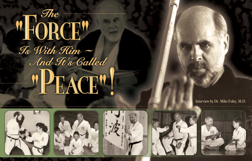# $M_{\rm H}$  or  $\frac{m_e}{m_e}$ To With Him -And Ft's Called "PEACE"









## Interview by Dr. Mike Foley, M.D.

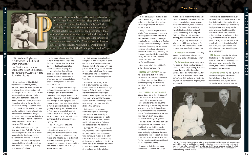*"Dr. Webster-Doyle's work is outstanding in the field of peace promotion."* 

*— Citation when he was awarded the Robert Burns Medal for literature by Austria's Albert Schweitzer Society*

Have you heard of Alfred Nobel, the man who invented dynamite, and later created the Nobel Peace Prizes for discoveries in science and art that promote peace in our world? Dr. Terrence Webster-Doyle, 64, of Cape Elizabeth, Maine, may be the new Nobel. His classes, books and courses, which bring the original intent of the martial arts into the 21st century, infuse new ideas into our thinking. The way he combines specific traditional martial arts methods with universal and timeless thought processes is revolutionary and, in today's world, he is helping people — especially young people — understand and resolve conflict peacefully.

As a boy growing up in a tough town outside New York City, Terrence Webster-Doyle was the victim of bullies who rendered a life-threatening injury to his head and knocked out several of his teeth. He overcame the physical damage, but the emotional wounds are what drove him to find a way to help other victims of bullying.

In his award-winning book, *Dr. Webster-Doyle's Martial Arts Guide for Parents*, he describes the terrible shootings that have happened in schools because of bullying. And his perception that these killings could have been avoided if school administrators had taken the issue of bullying seriously enough to bring effective bully-prevention programs into their schools.

Dr. Webster-Doyle's internationallyacclaimed books were written to address this urgent issue of conflict in the relationships that people have with one another. He strongly feels that the martial arts, if taught as both a physical and mental endeavor, can be a viable solution to reduce episodes of societal violence growing every day. His relentless search to find a way to successfully address violence began in the 1950s, when he started to learn how to cope with conflict by the use of physical means through fighting back.

Σ

Then, in 1961, while attending the University of Miami in Florida, he found what would be a life-long career, one that has now spanned more than four decades in dedication to the martial arts. What he saw in a storefront was what looked like "people doing gymnastics in pajamas." It was one of the first schools of martial arts in the U.S., and he was hooked!

All that rage and frustration from being bullied now had a place to come out, but in a safe and controlled way. He threw himself into karate with great passion. After leaving Florida, he went on to practice with Henry Cho, a pioneer in taekwondo, who had just arrived from Korea and was teaching in New York City.

He received his 1st-degree black belt in 1967 in gensei ryu karate, the first American to do so in this style taught at Chiba University in Japan. His instructor's name was Shigero Numano, a 4th-degree black belt fresh from Japan who could hardly speak English. Sensei Numano taught classes at McBurney's YMCA on West 23rd street in New York City.

In the meantime, he earned his masters degree in Psychology from Sonoma State University in California and a doctorate in Health and Human Services from Columbia Pacific University also in California, and a lifetime teaching credential.

In 1980, "Dr. T.," as his friends call him, originated his own style of martial arts, take nami do, that incorporated what he felt was missing in the other martial arts. That is, an understanding of the causes of conflict and the skills to avoid, resolve and manage it peacefully through an integrated combination of mental and physical martial arts.

In the late 1980s, he decided to call his educational program Martial Arts for Peace, for this is what he believed was the original reason the martial arts were created.

Today, Dr. Webster-Doyle's Martial Arts for Peace resources and programs are being used worldwide. They have been translated into many languages, including Russian, and placed in Russia's prestigious Libraries of Foreign Literature throughout the country. He has received numerous national and international awards (see sidebar story), including the illustrious Bruce Lee Medal presented to him by Mr. Lee's widow, Linda Lee Cadwell, at the Bruce and Brandon

Lee Memorial Banquet. Meet a man who's devoted his life

to the betterment of mankind.

### **MARTIAL ARTS SUCCESS:** Perhaps

the best place to start, with someone like you who has been involved in the martial arts for more than 40 years, is at the beginning. What were the martial arts like in the late '50s and early '60s?

## **DR. TERRENCE WEBSTER-DOYLE:**

It's now being called the "Golden Age" of the martial arts in North America. I cherish this experience because I have a martial arts perspective that few have today. It was exciting because we were some of the first non-Asians to experience the martial arts in their original form from martial arts teachers from Asia. We didn't know it then, but we were breaking new ground.

The main thing I remember then was the dignity and the civility of the art. It's difficult to put that into words, but perhaps I can come close to the actual feeling by saying that there was a gentleman's code of respect and honor in the martial arts that came from Asia. The "art" was the most important intent and the reason for learning.

I wanted to study this and apply it to my life. I knew that this unique

feeling I experienced in the original arts had to be preserved, because without this intent, the martial arts would become more martial than art, more commercial than artful. Later, I discovered that I wanted to translate this feeling of dignity and nobility in teaching this "art" to children so that when they grew up, they would be kind and happy human beings. They would be people who respected life and really cared for each other. This is the essential lesson in these great arts of self-understanding.

**MA Success:** You've come a long way since those early days. What do you value now, and what keeps you going?

**Dr. Webster-Doyle:** What really keeps me going is helping people understand and resolve conflict peacefully. This is the central theme in all the books I've written. This is the Mental Martial Arts™ that I feel is so important. These mental self-defense skills go hand-in-hand with physical self-defense skills. Together, they are one skill.

I'm always disappointed to discover that some instructors either don't educate their students about the mental side, or think that they are doing it by teaching the physical side only. Many martial artists who understand the need for mental self-defense skills still refer to the martial arts as a physical activity only, and refer to mental skills as an option or a tag-on. But the truth is that mental skills are the foundation of all martial arts, and physical skills were originally the add-on! Something got lost in translation!

**MA Success:** You write the column, "Martial Arts for the 21st Century," for us. *MA Success* is a trade magazine. What's your main purpose for this column, and how is it related to the business of the martial arts?

**Dr. Webster-Doyle:** My main purpose is to keep the original perspective in the martial arts as they develop in the twenty-first century, and beyond. The martial arts are evolving, and we,



## **The Force**



JUNE 2004

 $\circ$ 

 $\circ$ 

 $\mathbb Z$ 

 $\overline{\mathbf{m}}$ 



erhaps more than anybody else in the martial arts industry, Dr. Terrence Webster-Doyle has helped people - especially young people - understand how to resolve conflict peacefully. This award-winning author and educator's Martial Arts for Peace resources and programs are today being used worldwide, helping to make this a better world for all of us to live in. For a lifetime devoted to developing his revolutionary concepts, Dr. Webster-Doyle will receive the Martial Arts Industry Association's "Distinguished Service Award" at the 2004 MAIA SuperShow in Las Vegas.



1985: Dr. Terrence Webster-Doyle, who is receiving MAIA's Distinguished Service Award for his life's work in anti-bullying, conflict-education projects and books, is pictured here with his wife, Jean, at the Atrium School that they co-founded and co-directed in Ojai, California. The school is an Education for Peace Learning Center based on understanding human conflict.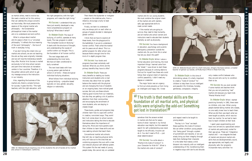martial arts for our young students. We must combine the original intent of the martial arts with realistic, safe, age-appropriate skills to meet current needs.

If the martial arts are going to survive, they need to help humanity, and all martial arts school owners and instructors need to educate their students mentally as well as physically.

**MA Success:** You have a background in education, psychology and juvenile delinquency prevention outside the martial arts. Do you think this is what has led you down this path?

**Dr. Webster-Doyle:** While I value a formal education and training, the most important things I learned came from the "street." I was driven to start these programs because of a strong desire to find out for myself how these arts could follow their original intent of resolving conflict peacefully. I didn't need any degree or credential.

The major factor was an urgency to find out what prevents us from living an intelligent and happy life. I knew

somehow that the answer existed in martial arts that are for peace. Some of what I learned in my formal education was helpful, but this essential search for self-understanding was never taught to me officially. Anyone can do it. You don't need a Ph.D. — just sheer determination!

**MA Success:** You write about a "Martial Arts Code of Conduct" in your Character for Kids Kit™. What is the martial arts code of conduct?

**Dr. Webster-Doyle:** In this time of diminishing values, it's vitally important to create a "Code of Conduct" for children to help them live an intelligent and peaceful life. Kindness, honesty, gentleness, compassion, integrity

 JUNE 2004  $\subset$  $\overline{z}$  $\mathbf{m}$  $\circ$  $\circ$ 

> and respect need to be taught to young people.

The key is in "how" we teach these qualities, this Code of Conduct. We can either condition young people into "being good" through a system of punishment and rewards, or we can wisely bring out their integrity through tests that challenge their character. It is the latter that makes a child blossom into maturity with an intelligent understanding of life. Conditioning them in negative ways with don'ts and shoulds

only creates conflict between who they are and who we try to condition them to be.

**MA Success:** Do you ever wonder if some martial arts teachers think that you are not practicing "real" martial arts because you teach kids "Mental Martial Arts?"

**Dr. Webster-Doyle:** When I started practicing formally in 1961, there were no children, only men. When young people started taking martial arts classes, no one really knew how to teach them. What we did then was teach what we were taught as adults, which was too hard, too *martial*. So we had to learn how to teach children at their level.

I spent years experimenting and have now arrived at a specialized version of martial arts particularly suited for their age group. These are "integrative martial arts" — we integrate the best of mental and physical martial arts skills that are developmentally sound, age-appropriate, and legally and physically safe. Our programs incorporate many activities I've

**The Force**



as martial artists, need to evolve too. We need a martial art for this century that can address the unique concerns we have today. We must preserve the essence of the original martial arts philosophy – the fundamental philosophical intent of the martial arts is to understand and end conflict. What is unique about martial arts for peace is that it is a "universal philosophy." It reflects the true meaning

# **"The truth is that mental skills are the**<br>foundation of all martial arts, and physi **foundation of all martial arts, and physical** skills were originally the add-on! Something<br>got lost in translation!<sup>??</sup> **got lost in translation! { "**

of the word "philosophy" – the love of truth in everyday living. If we don't bring this intent into our martial arts schools, we are not teaching the arts as they were originally intended, and we will lose the tremendous benefit they offer. *Martial Arts Success* is mailed exclusively to full-time school owners and part-time instructors at recreation

centers in four countries. Therefore, it is the *perfect* vehicle with which to get my message across to the instructors

in our industry.

Also, regarding the business of the martial arts, there's a simple formula for success. It goes like this: "The right teachers, with the right education, with the right perspective, with the right programs, will make the right living."

**MA Success:** I understand that you have just recently developed a new, more comprehensive program on bullying? What does it entail?

**Dr. Webster-Doyle:** The issue of bullying, of conflict, operates at many levels. The new program is called "The Complete Course on Bullying." It starts with the structure of thought, and understanding the causes of conflict within our thought. This is the foundation of all human conflict.

The next stage deals with understanding the inner bully. We have *all* been conditioned to bully ourselves!

The next level deals with how a young person gets bullied at school or at home — these are typical individual bullying situations.

What follows from individual bullying is group bullying — prejudice based typically on race, gender, sexuality, religion or nationality.

Then there's the bystander or instigator — people on the sidelines who, from a distance, encourage a bully to beat up a victim.

Finally, we learn to understand why we always pick on each other as groups of people divided in ideological global conflict.

I think that we have to explore all these levels, from the playground to the battlefield, if we are to understand human conflict. That's what the martial arts for peace are all about. This is a perfect program for after-school care, because there's enough time for this kind of in-depth program then.

**MA Success:** Your books and programs have been extremely well received. What do you think are the primary benefits they have to offer?

**Dr. Webster-Doyle:** There are many benefits to reading our books. Instructors and students who e-mail me every day about how our guides balance the mental with the physical and are changing the lives of students on an ongoing basis, have noticed great success. Not only are these schools making good income from our materials, but also they are getting a lot of positive attention from their communities, and encouraging the enrollment of more students, who are staying in classes longer.

These books, guides and programs help children learn how to cope with conflict in creative, nonviolent ways. They work! But it all comes down to school owners and instructors taking the time to educate themselves about the importance of doing this. More and more parents want their children to learn these skills and are now seeking schools that teach them.

Conventional martial arts schools that still rely on teaching physical skills only will lose out to the ones that are combining programs like ours with a new and relevant physical self-defense system. This system fits the real needs of young people today. We cannot rely on outdated

**The Force**

1982: Dr. Webster-Doyle teaching one of his students the art of karate at his martial arts school in Sebastopol, California.



1970: Dr. Webster-Doyle with his chief instructor, Shigeru Numano-sensei, a master teacher of gensei ryu karate, at McBurney's YMCA in New York City.